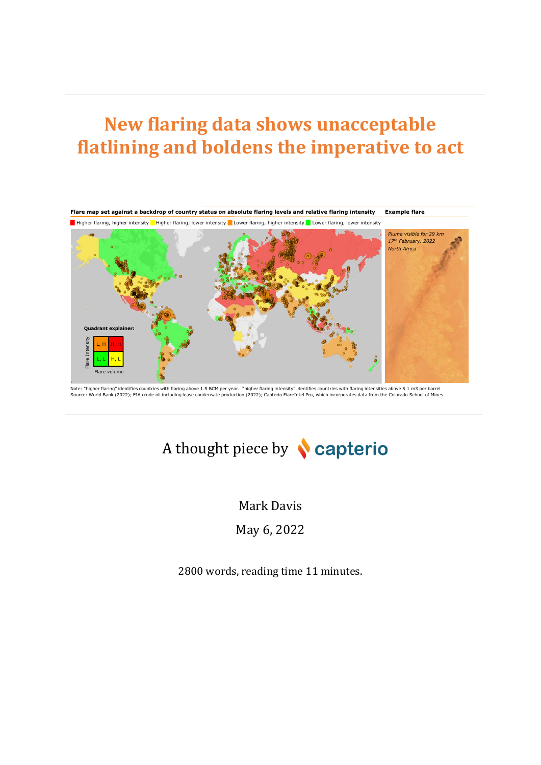# **New flaring data shows unacceptable flatlining and boldens the imperative to act**



Note: "higher flaring" identifies countries with flaring above 1.5 BCM per year. "higher flaring intensity" identifies countries with flaring intensities above 5.1 m3 per barrel<br>Source: World Bank (2022); EIA crude oil inc

# A thought piece by **Capterio**

Mark Davis May 6, 2022

2800 words, reading time 11 minutes.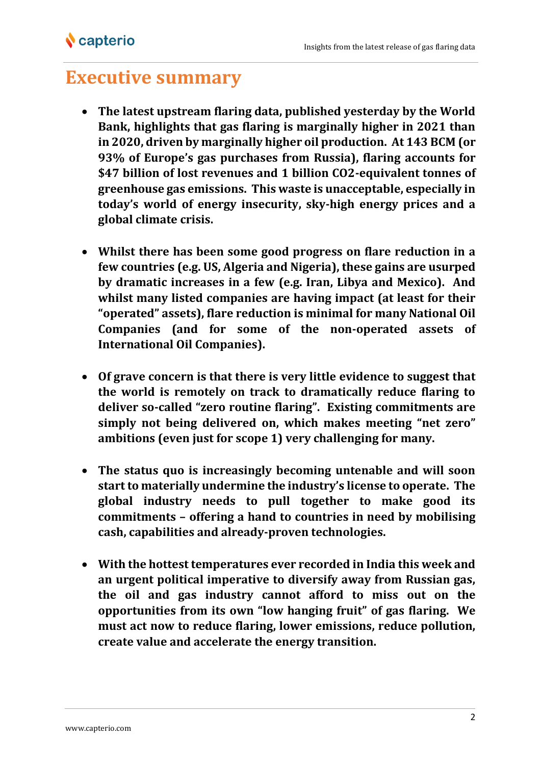## **Executive summary**

- **The latest upstream flaring data, published yesterday by the World Bank, highlights that gas flaring is marginally higher in 2021 than in 2020, driven by marginally higher oil production. At 143 BCM (or 93% of Europe's gas purchases from Russia), flaring accounts for \$47 billion of lost revenues and 1 billion CO2-equivalent tonnes of greenhouse gas emissions. This waste is unacceptable, especially in today's world of energy insecurity, sky-high energy prices and a global climate crisis.**
- **Whilst there has been some good progress on flare reduction in a few countries (e.g. US, Algeria and Nigeria), these gains are usurped by dramatic increases in a few (e.g. Iran, Libya and Mexico). And whilst many listed companies are having impact (at least for their "operated" assets), flare reduction is minimal for many National Oil Companies (and for some of the non-operated assets of International Oil Companies).**
- **Of grave concern is that there is very little evidence to suggest that the world is remotely on track to dramatically reduce flaring to deliver so-called "zero routine flaring". Existing commitments are simply not being delivered on, which makes meeting "net zero" ambitions (even just for scope 1) very challenging for many.**
- **The status quo is increasingly becoming untenable and will soon start to materially undermine the industry's license to operate. The global industry needs to pull together to make good its commitments – offering a hand to countries in need by mobilising cash, capabilities and already-proven technologies.**
- **With the hottest temperatures ever recorded in India this week and an urgent political imperative to diversify away from Russian gas, the oil and gas industry cannot afford to miss out on the opportunities from its own "low hanging fruit" of gas flaring. We must act now to reduce flaring, lower emissions, reduce pollution, create value and accelerate the energy transition.**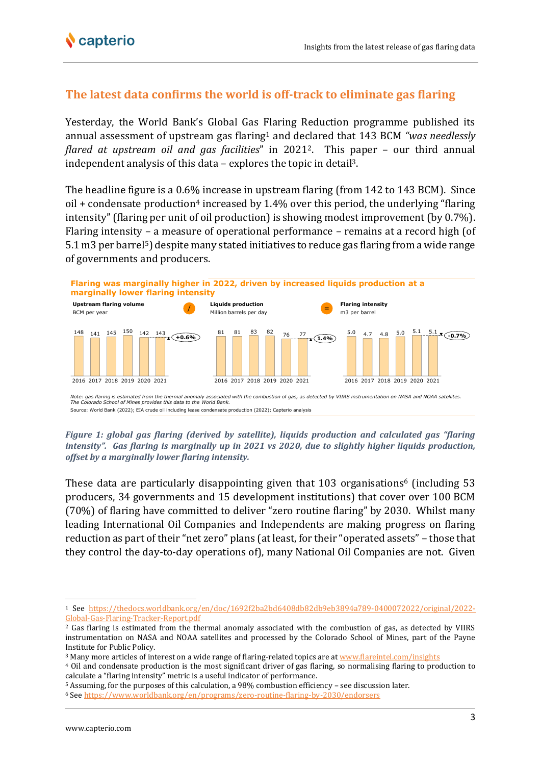### **The latest data confirms the world is off-track to eliminate gas flaring**

Yesterday, the World Bank's Global Gas Flaring Reduction programme published its annual assessment of upstream gas flaring<sup>1</sup> and declared that 143 BCM *"was needlessly flared at upstream oil and gas facilities*" in 20212. This paper – our third annual independent analysis of this data – explores the topic in detail3.

The headline figure is a 0.6% increase in upstream flaring (from 142 to 143 BCM). Since oil  $+$  condensate production<sup>4</sup> increased by 1.4% over this period, the underlying "flaring" intensity" (flaring per unit of oil production) is showing modest improvement (by 0.7%). Flaring intensity – a measure of operational performance – remains at a record high (of 5.1 m3 per barrel<sup>5</sup>) despite many stated initiatives to reduce gas flaring from a wide range of governments and producers.



*Figure 1: global gas flaring (derived by satellite), liquids production and calculated gas "flaring intensity". Gas flaring is marginally up in 2021 vs 2020, due to slightly higher liquids production, offset by a marginally lower flaring intensity.*

These data are particularly disappointing given that 103 organisations<sup>6</sup> (including 53 producers, 34 governments and 15 development institutions) that cover over 100 BCM (70%) of flaring have committed to deliver "zero routine flaring" by 2030. Whilst many leading International Oil Companies and Independents are making progress on flaring reduction as part of their "net zero" plans (at least, for their "operated assets" – those that they control the day-to-day operations of), many National Oil Companies are not. Given

<sup>1</sup> See [https://thedocs.worldbank.org/en/doc/1692f2ba2bd6408db82db9eb3894a789-0400072022/original/2022-](https://thedocs.worldbank.org/en/doc/1692f2ba2bd6408db82db9eb3894a789-0400072022/original/2022-Global-Gas-Flaring-Tracker-Report.pdf) [Global-Gas-Flaring-Tracker-Report.pdf](https://thedocs.worldbank.org/en/doc/1692f2ba2bd6408db82db9eb3894a789-0400072022/original/2022-Global-Gas-Flaring-Tracker-Report.pdf)

<sup>&</sup>lt;sup>2</sup> Gas flaring is estimated from the thermal anomaly associated with the combustion of gas, as detected by VIIRS instrumentation on NASA and NOAA satellites and processed by the Colorado School of Mines, part of the Payne Institute for Public Policy.

<sup>3</sup> Many more articles of interest on a wide range of flaring-related topics are a[t www.flareintel.com/insights](http://www.flareintel.com/insights)

<sup>4</sup> Oil and condensate production is the most significant driver of gas flaring, so normalising flaring to production to calculate a "flaring intensity" metric is a useful indicator of performance.

<sup>5</sup> Assuming, for the purposes of this calculation, a 98% combustion efficiency – see discussion later.

<sup>6</sup> Se[e https://www.worldbank.org/en/programs/zero-routine-flaring-by-2030/endorsers](https://www.worldbank.org/en/programs/zero-routine-flaring-by-2030/endorsers)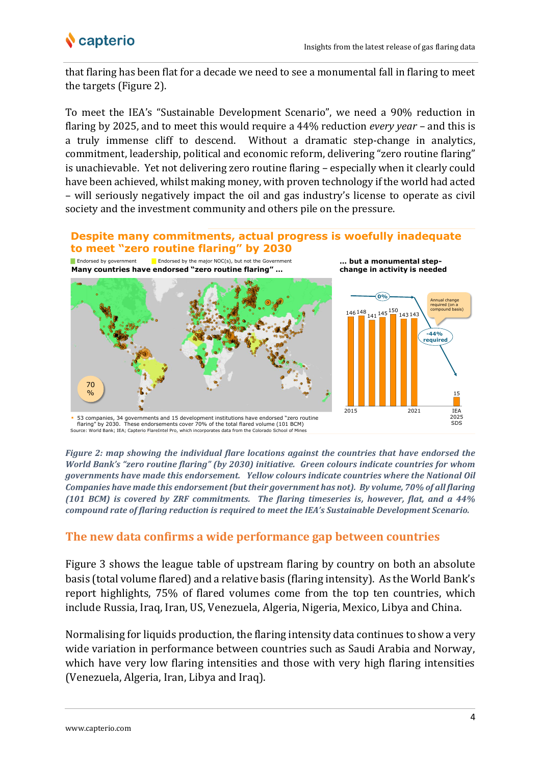

that flaring has been flat for a decade we need to see a monumental fall in flaring to meet the targets (Figure 2).

To meet the IEA's "Sustainable Development Scenario", we need a 90% reduction in flaring by 2025, and to meet this would require a 44% reduction *every year* – and this is a truly immense cliff to descend. Without a dramatic step-change in analytics, commitment, leadership, political and economic reform, delivering "zero routine flaring" is unachievable. Yet not delivering zero routine flaring – especially when it clearly could have been achieved, whilst making money, with proven technology if the world had acted – will seriously negatively impact the oil and gas industry's license to operate as civil society and the investment community and others pile on the pressure.



*Figure 2: map showing the individual flare locations against the countries that have endorsed the World Bank's "zero routine flaring" (by 2030) initiative. Green colours indicate countries for whom governments have made this endorsement. Yellow colours indicate countries where the National Oil Companies have made this endorsement (but their government has not). By volume, 70% of all flaring (101 BCM) is covered by ZRF commitments. The flaring timeseries is, however, flat, and a 44% compound rate of flaring reduction is required to meet the IEA's Sustainable Development Scenario.*

### **The new data confirms a wide performance gap between countries**

Figure 3 shows the league table of upstream flaring by country on both an absolute basis (total volume flared) and a relative basis (flaring intensity). As the World Bank's report highlights, 75% of flared volumes come from the top ten countries, which include Russia, Iraq, Iran, US, Venezuela, Algeria, Nigeria, Mexico, Libya and China.

Normalising for liquids production, the flaring intensity data continues to show a very wide variation in performance between countries such as Saudi Arabia and Norway, which have very low flaring intensities and those with very high flaring intensities (Venezuela, Algeria, Iran, Libya and Iraq).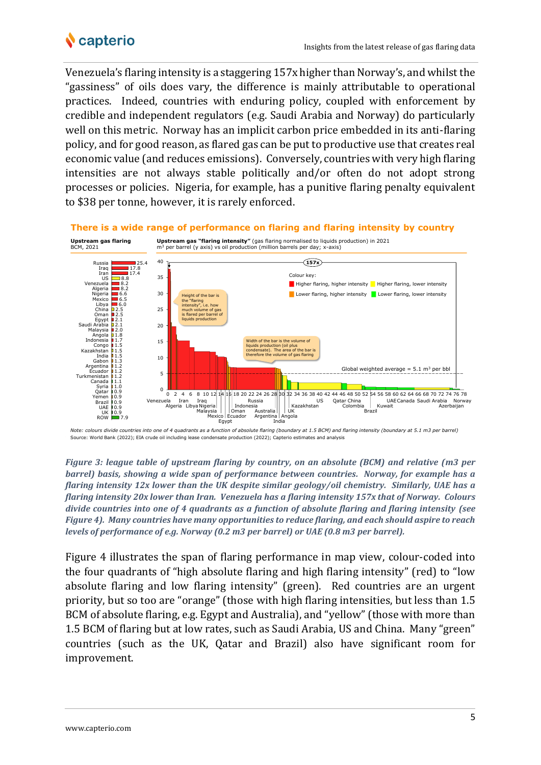

Venezuela's flaring intensity is a staggering 157x higher than Norway's, and whilst the "gassiness" of oils does vary, the difference is mainly attributable to operational practices. Indeed, countries with enduring policy, coupled with enforcement by credible and independent regulators (e.g. Saudi Arabia and Norway) do particularly well on this metric. Norway has an implicit carbon price embedded in its anti-flaring policy, and for good reason, as flared gas can be put to productive use that creates real economic value (and reduces emissions). Conversely, countries with very high flaring intensities are not always stable politically and/or often do not adopt strong processes or policies. Nigeria, for example, has a punitive flaring penalty equivalent to \$38 per tonne, however, it is rarely enforced.



*Figure 3: league table of upstream flaring by country, on an absolute (BCM) and relative (m3 per barrel) basis, showing a wide span of performance between countries. Norway, for example has a flaring intensity 12x lower than the UK despite similar geology/oil chemistry. Similarly, UAE has a flaring intensity 20x lower than Iran. Venezuela has a flaring intensity 157x that of Norway. Colours divide countries into one of 4 quadrants as a function of absolute flaring and flaring intensity (see Figure 4). Many countries have many opportunities to reduce flaring, and each should aspire to reach levels of performance of e.g. Norway (0.2 m3 per barrel) or UAE (0.8 m3 per barrel).*

Figure 4 illustrates the span of flaring performance in map view, colour-coded into the four quadrants of "high absolute flaring and high flaring intensity" (red) to "low absolute flaring and low flaring intensity" (green). Red countries are an urgent priority, but so too are "orange" (those with high flaring intensities, but less than 1.5 BCM of absolute flaring, e.g. Egypt and Australia), and "yellow" (those with more than 1.5 BCM of flaring but at low rates, such as Saudi Arabia, US and China. Many "green" countries (such as the UK, Qatar and Brazil) also have significant room for improvement.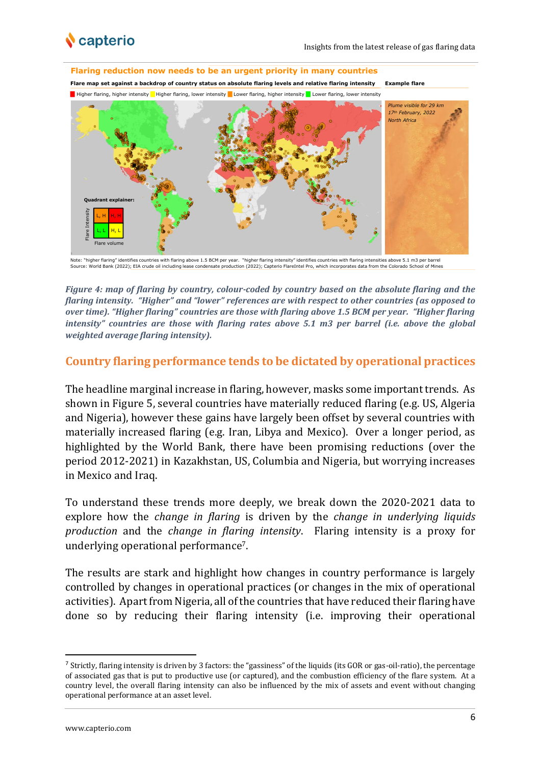



Note: "higher flaring" identifies countries with flaring above 1.5 BCM per year. "higher flaring intensity" identifies countries with flaring intensities above 5.1 m3 per barrel<br>Source: World Bank (2022); EIA crude oil inc

*Figure 4: map of flaring by country, colour-coded by country based on the absolute flaring and the flaring intensity. "Higher" and "lower" references are with respect to other countries (as opposed to over time). "Higher flaring" countries are those with flaring above 1.5 BCM per year. "Higher flaring intensity"* countries are those with flaring rates above 5.1 m3 per barrel (i.e. above the global *weighted average flaring intensity).* 

#### **Country flaring performance tends to be dictated by operational practices**

The headline marginal increase in flaring, however, masks some important trends. As shown in Figure 5, several countries have materially reduced flaring (e.g. US, Algeria and Nigeria), however these gains have largely been offset by several countries with materially increased flaring (e.g. Iran, Libya and Mexico). Over a longer period, as highlighted by the World Bank, there have been promising reductions (over the period 2012-2021) in Kazakhstan, US, Columbia and Nigeria, but worrying increases in Mexico and Iraq.

To understand these trends more deeply, we break down the 2020-2021 data to explore how the *change in flaring* is driven by the *change in underlying liquids production* and the *change in flaring intensity*. Flaring intensity is a proxy for underlying operational performance7.

The results are stark and highlight how changes in country performance is largely controlled by changes in operational practices (or changes in the mix of operational activities). Apart from Nigeria, all of the countries that have reduced their flaring have done so by reducing their flaring intensity (i.e. improving their operational

<sup>&</sup>lt;sup>7</sup> Strictly, flaring intensity is driven by 3 factors: the "gassiness" of the liquids (its GOR or gas-oil-ratio), the percentage of associated gas that is put to productive use (or captured), and the combustion efficiency of the flare system. At a country level, the overall flaring intensity can also be influenced by the mix of assets and event without changing operational performance at an asset level.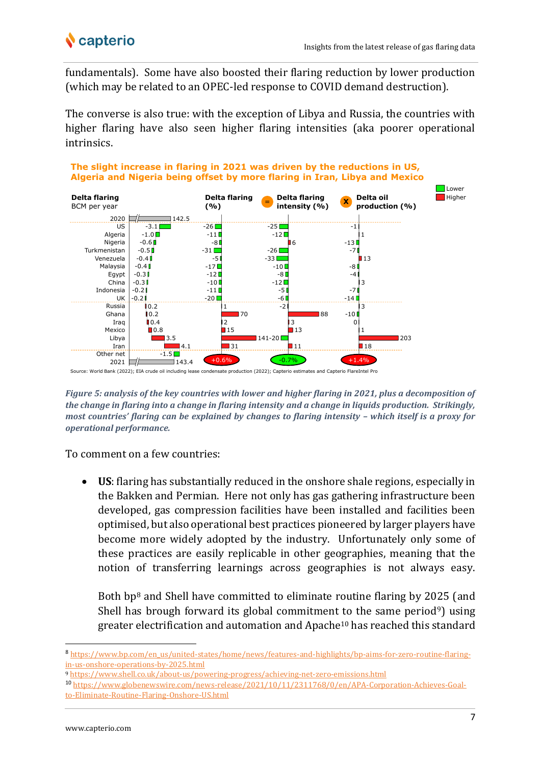## **v** capterio

fundamentals). Some have also boosted their flaring reduction by lower production (which may be related to an OPEC-led response to COVID demand destruction).

The converse is also true: with the exception of Libya and Russia, the countries with higher flaring have also seen higher flaring intensities (aka poorer operational intrinsics.



*Figure 5: analysis of the key countries with lower and higher flaring in 2021, plus a decomposition of the change in flaring into a change in flaring intensity and a change in liquids production. Strikingly, most countries' flaring can be explained by changes to flaring intensity - which itself is a proxy for operational performance.*

To comment on a few countries:

• **US**: flaring has substantially reduced in the onshore shale regions, especially in the Bakken and Permian. Here not only has gas gathering infrastructure been developed, gas compression facilities have been installed and facilities been optimised, but also operational best practices pioneered by larger players have become more widely adopted by the industry. Unfortunately only some of these practices are easily replicable in other geographies, meaning that the notion of transferring learnings across geographies is not always easy.

Both bp<sup>8</sup> and Shell have committed to eliminate routine flaring by 2025 (and Shell has brough forward its global commitment to the same period<sup>9</sup>) using greater electrification and automation and Apache<sup>10</sup> has reached this standard

<sup>8</sup> [https://www.bp.com/en\\_us/united-states/home/news/features-and-highlights/bp-aims-for-zero-routine-flaring](https://www.bp.com/en_us/united-states/home/news/features-and-highlights/bp-aims-for-zero-routine-flaring-in-us-onshore-operations-by-2025.html)[in-us-onshore-operations-by-2025.html](https://www.bp.com/en_us/united-states/home/news/features-and-highlights/bp-aims-for-zero-routine-flaring-in-us-onshore-operations-by-2025.html)

<sup>9</sup> <https://www.shell.co.uk/about-us/powering-progress/achieving-net-zero-emissions.html>

<sup>10</sup> [https://www.globenewswire.com/news-release/2021/10/11/2311768/0/en/APA-Corporation-Achieves-Goal](https://www.globenewswire.com/news-release/2021/10/11/2311768/0/en/APA-Corporation-Achieves-Goal-to-Eliminate-Routine-Flaring-Onshore-US.html)[to-Eliminate-Routine-Flaring-Onshore-US.html](https://www.globenewswire.com/news-release/2021/10/11/2311768/0/en/APA-Corporation-Achieves-Goal-to-Eliminate-Routine-Flaring-Onshore-US.html)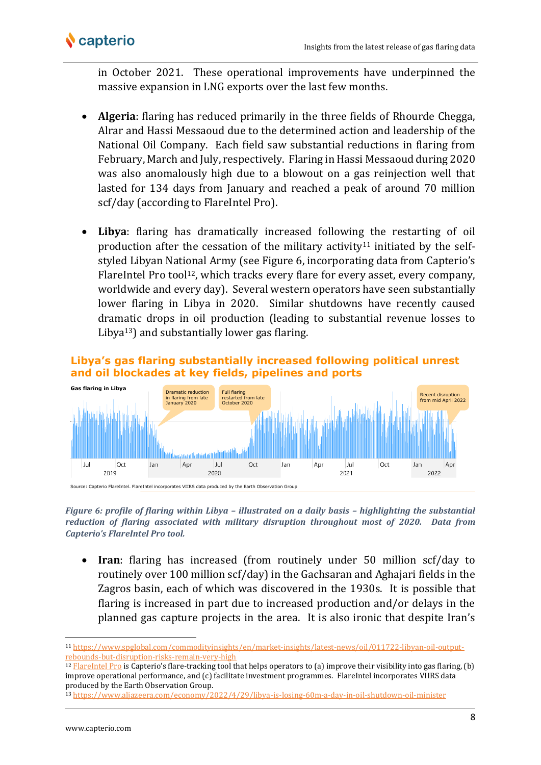

in October 2021. These operational improvements have underpinned the massive expansion in LNG exports over the last few months.

- **Algeria**: flaring has reduced primarily in the three fields of Rhourde Chegga, Alrar and Hassi Messaoud due to the determined action and leadership of the National Oil Company. Each field saw substantial reductions in flaring from February, March and July, respectively. Flaring in Hassi Messaoud during 2020 was also anomalously high due to a blowout on a gas reinjection well that lasted for 134 days from January and reached a peak of around 70 million scf/day (according to FlareIntel Pro).
- **Libya**: flaring has dramatically increased following the restarting of oil production after the cessation of the military activity<sup>11</sup> initiated by the selfstyled Libyan National Army (see Figure 6, incorporating data from Capterio's FlareIntel Pro tool<sup>12</sup>, which tracks every flare for every asset, every company, worldwide and every day). Several western operators have seen substantially lower flaring in Libya in 2020. Similar shutdowns have recently caused dramatic drops in oil production (leading to substantial revenue losses to Libya13) and substantially lower gas flaring.



*Figure 6: profile of flaring within Libya – illustrated on a daily basis – highlighting the substantial reduction of flaring associated with military disruption throughout most of 2020. Data from Capterio's FlareIntel Pro tool.*

• **Iran**: flaring has increased (from routinely under 50 million scf/day to routinely over 100 million scf/day) in the Gachsaran and Aghajari fields in the Zagros basin, each of which was discovered in the 1930s. It is possible that flaring is increased in part due to increased production and/or delays in the planned gas capture projects in the area. It is also ironic that despite Iran's

<sup>11</sup> [https://www.spglobal.com/commodityinsights/en/market-insights/latest-news/oil/011722-libyan-oil-output](https://www.spglobal.com/commodityinsights/en/market-insights/latest-news/oil/011722-libyan-oil-output-rebounds-but-disruption-risks-remain-very-high)[rebounds-but-disruption-risks-remain-very-high](https://www.spglobal.com/commodityinsights/en/market-insights/latest-news/oil/011722-libyan-oil-output-rebounds-but-disruption-risks-remain-very-high)

 $12$  [FlareIntel Pro](http://www.flareintel.com/) is Capterio's flare-tracking tool that helps operators to (a) improve their visibility into gas flaring, (b) improve operational performance, and (c) facilitate investment programmes. FlareIntel incorporates VIIRS data produced by the Earth Observation Group.

<sup>13</sup> <https://www.aljazeera.com/economy/2022/4/29/libya-is-losing-60m-a-day-in-oil-shutdown-oil-minister>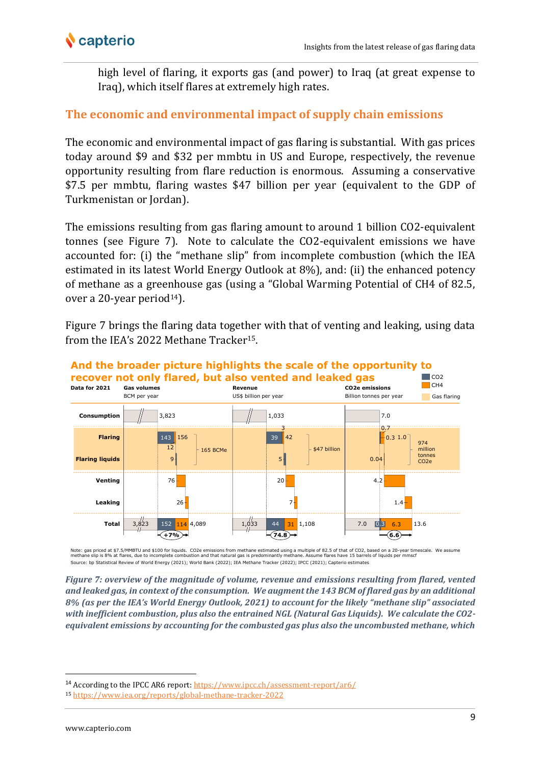

high level of flaring, it exports gas (and power) to Iraq (at great expense to Iraq), which itself flares at extremely high rates.

### **The economic and environmental impact of supply chain emissions**

The economic and environmental impact of gas flaring is substantial. With gas prices today around \$9 and \$32 per mmbtu in US and Europe, respectively, the revenue opportunity resulting from flare reduction is enormous. Assuming a conservative \$7.5 per mmbtu, flaring wastes \$47 billion per year (equivalent to the GDP of Turkmenistan or Jordan).

The emissions resulting from gas flaring amount to around 1 billion CO2-equivalent tonnes (see Figure 7). Note to calculate the CO2-equivalent emissions we have accounted for: (i) the "methane slip" from incomplete combustion (which the IEA estimated in its latest World Energy Outlook at 8%), and: (ii) the enhanced potency of methane as a greenhouse gas (using a "Global Warming Potential of CH4 of 82.5, over a 20-year period<sup>14</sup>).

Figure 7 brings the flaring data together with that of venting and leaking, using data from the IEA's 2022 Methane Tracker<sup>15</sup>.



Note: gas priced at \$7.5/MMBTU and \$100 for liquids. CO2e emissions from methane estimated using a multiple of B2.5 of that of CO2, based on a 20-year timescale. We assume<br>methane slip is 8% at flares, due to incomplete co Source: bp Statistical Review of World Energy (2021); World Bank (2022); IEA Methane Tracker (2022); IPCC (2021); Capterio estimates

*Figure 7: overview of the magnitude of volume, revenue and emissions resulting from flared, vented and leaked gas, in context of the consumption. We augment the 143 BCM of flared gas by an additional 8% (as per the IEA's World Energy Outlook, 2021) to account for the likely "methane slip" associated with inefficient combustion, plus also the entrained NGL (Natural Gas Liquids). We calculate the CO2 equivalent emissions by accounting for the combusted gas plus also the uncombusted methane, which* 

<sup>14</sup> According to the IPCC AR6 report[: https://www.ipcc.ch/assessment-report/ar6/](https://www.ipcc.ch/assessment-report/ar6/)

<sup>15</sup> <https://www.iea.org/reports/global-methane-tracker-2022>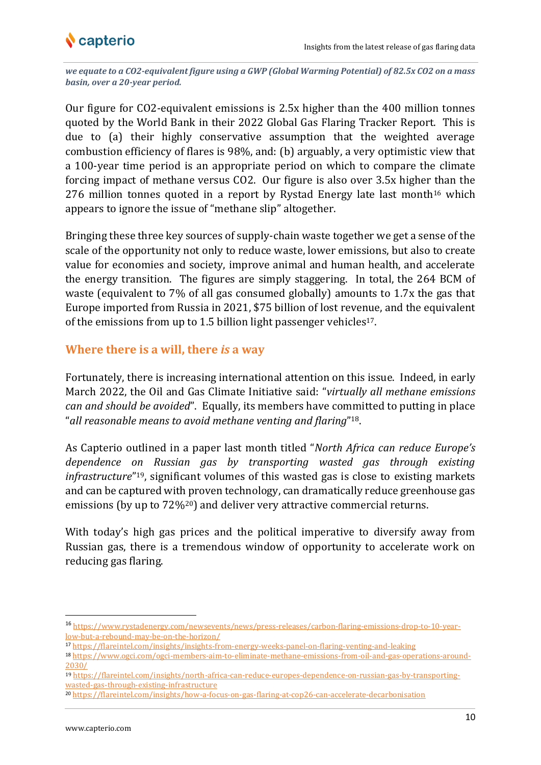

*we equate to a CO2-equivalent figure using a GWP (Global Warming Potential) of 82.5x CO2 on a mass basin, over a 20-year period.*

Our figure for CO2-equivalent emissions is 2.5x higher than the 400 million tonnes quoted by the World Bank in their 2022 Global Gas Flaring Tracker Report. This is due to (a) their highly conservative assumption that the weighted average combustion efficiency of flares is 98%, and: (b) arguably, a very optimistic view that a 100-year time period is an appropriate period on which to compare the climate forcing impact of methane versus CO2. Our figure is also over 3.5x higher than the 276 million tonnes quoted in a report by Rystad Energy late last month<sup>16</sup> which appears to ignore the issue of "methane slip" altogether.

Bringing these three key sources of supply-chain waste together we get a sense of the scale of the opportunity not only to reduce waste, lower emissions, but also to create value for economies and society, improve animal and human health, and accelerate the energy transition. The figures are simply staggering. In total, the 264 BCM of waste (equivalent to 7% of all gas consumed globally) amounts to 1.7x the gas that Europe imported from Russia in 2021, \$75 billion of lost revenue, and the equivalent of the emissions from up to 1.5 billion light passenger vehicles<sup>17</sup>.

#### **Where there is a will, there** *is* **a way**

Fortunately, there is increasing international attention on this issue. Indeed, in early March 2022, the Oil and Gas Climate Initiative said: "*virtually all methane emissions can and should be avoided*". Equally, its members have committed to putting in place "*all reasonable means to avoid methane venting and flaring*" 18.

As Capterio outlined in a paper last month titled "*North Africa can reduce Europe's dependence on Russian gas by transporting wasted gas through existing infrastructure*" <sup>19</sup>, significant volumes of this wasted gas is close to existing markets and can be captured with proven technology, can dramatically reduce greenhouse gas emissions (by up to 72%<sup>20</sup>) and deliver very attractive commercial returns.

With today's high gas prices and the political imperative to diversify away from Russian gas, there is a tremendous window of opportunity to accelerate work on reducing gas flaring.

<sup>16</sup> [https://www.rystadenergy.com/newsevents/news/press-releases/carbon-flaring-emissions-drop-to-10-year](https://www.rystadenergy.com/newsevents/news/press-releases/carbon-flaring-emissions-drop-to-10-year-low-but-a-rebound-may-be-on-the-horizon/)[low-but-a-rebound-may-be-on-the-horizon/](https://www.rystadenergy.com/newsevents/news/press-releases/carbon-flaring-emissions-drop-to-10-year-low-but-a-rebound-may-be-on-the-horizon/)

<sup>17</sup> <https://flareintel.com/insights/insights-from-energy-weeks-panel-on-flaring-venting-and-leaking>

<sup>18</sup> [https://www.ogci.com/ogci-members-aim-to-eliminate-methane-emissions-from-oil-and-gas-operations-around-](https://www.ogci.com/ogci-members-aim-to-eliminate-methane-emissions-from-oil-and-gas-operations-around-2030/)[2030/](https://www.ogci.com/ogci-members-aim-to-eliminate-methane-emissions-from-oil-and-gas-operations-around-2030/)

<sup>19</sup> [https://flareintel.com/insights/north-africa-can-reduce-europes-dependence-on-russian-gas-by-transporting](https://flareintel.com/insights/north-africa-can-reduce-europes-dependence-on-russian-gas-by-transporting-wasted-gas-through-existing-infrastructure)[wasted-gas-through-existing-infrastructure](https://flareintel.com/insights/north-africa-can-reduce-europes-dependence-on-russian-gas-by-transporting-wasted-gas-through-existing-infrastructure)

<sup>20</sup> <https://flareintel.com/insights/how-a-focus-on-gas-flaring-at-cop26-can-accelerate-decarbonisation>